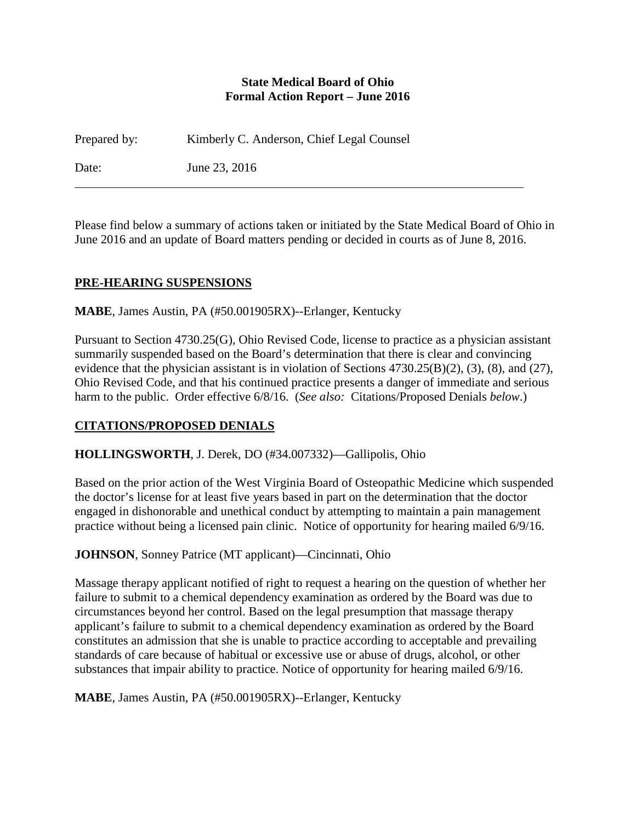### **State Medical Board of Ohio Formal Action Report – June 2016**

Prepared by: Kimberly C. Anderson, Chief Legal Counsel Date: June 23, 2016

Please find below a summary of actions taken or initiated by the State Medical Board of Ohio in June 2016 and an update of Board matters pending or decided in courts as of June 8, 2016.

### **PRE-HEARING SUSPENSIONS**

**MABE**, James Austin, PA (#50.001905RX)--Erlanger, Kentucky

Pursuant to Section 4730.25(G), Ohio Revised Code, license to practice as a physician assistant summarily suspended based on the Board's determination that there is clear and convincing evidence that the physician assistant is in violation of Sections 4730.25(B)(2), (3), (8), and (27), Ohio Revised Code, and that his continued practice presents a danger of immediate and serious harm to the public. Order effective 6/8/16. (*See also:* Citations/Proposed Denials *below*.)

# **CITATIONS/PROPOSED DENIALS**

### **HOLLINGSWORTH**, J. Derek, DO (#34.007332)—Gallipolis, Ohio

Based on the prior action of the West Virginia Board of Osteopathic Medicine which suspended the doctor's license for at least five years based in part on the determination that the doctor engaged in dishonorable and unethical conduct by attempting to maintain a pain management practice without being a licensed pain clinic. Notice of opportunity for hearing mailed 6/9/16.

**JOHNSON**, Sonney Patrice (MT applicant)—Cincinnati, Ohio

Massage therapy applicant notified of right to request a hearing on the question of whether her failure to submit to a chemical dependency examination as ordered by the Board was due to circumstances beyond her control. Based on the legal presumption that massage therapy applicant's failure to submit to a chemical dependency examination as ordered by the Board constitutes an admission that she is unable to practice according to acceptable and prevailing standards of care because of habitual or excessive use or abuse of drugs, alcohol, or other substances that impair ability to practice. Notice of opportunity for hearing mailed 6/9/16.

**MABE**, James Austin, PA (#50.001905RX)--Erlanger, Kentucky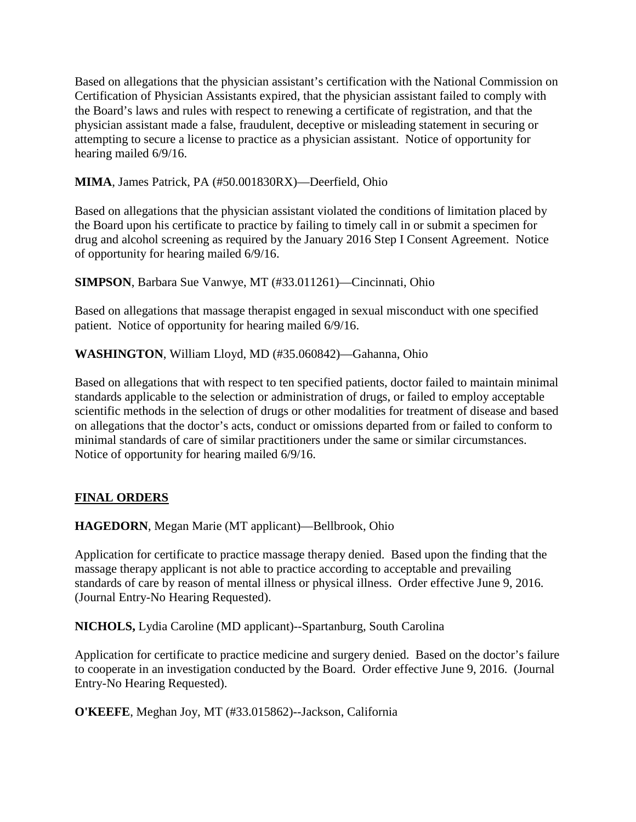Based on allegations that the physician assistant's certification with the National Commission on Certification of Physician Assistants expired, that the physician assistant failed to comply with the Board's laws and rules with respect to renewing a certificate of registration, and that the physician assistant made a false, fraudulent, deceptive or misleading statement in securing or attempting to secure a license to practice as a physician assistant. Notice of opportunity for hearing mailed 6/9/16.

**MIMA**, James Patrick, PA (#50.001830RX)—Deerfield, Ohio

Based on allegations that the physician assistant violated the conditions of limitation placed by the Board upon his certificate to practice by failing to timely call in or submit a specimen for drug and alcohol screening as required by the January 2016 Step I Consent Agreement. Notice of opportunity for hearing mailed 6/9/16.

**SIMPSON**, Barbara Sue Vanwye, MT (#33.011261)—Cincinnati, Ohio

Based on allegations that massage therapist engaged in sexual misconduct with one specified patient. Notice of opportunity for hearing mailed 6/9/16.

**WASHINGTON**, William Lloyd, MD (#35.060842)—Gahanna, Ohio

Based on allegations that with respect to ten specified patients, doctor failed to maintain minimal standards applicable to the selection or administration of drugs, or failed to employ acceptable scientific methods in the selection of drugs or other modalities for treatment of disease and based on allegations that the doctor's acts, conduct or omissions departed from or failed to conform to minimal standards of care of similar practitioners under the same or similar circumstances. Notice of opportunity for hearing mailed 6/9/16.

### **FINAL ORDERS**

**HAGEDORN**, Megan Marie (MT applicant)—Bellbrook, Ohio

Application for certificate to practice massage therapy denied. Based upon the finding that the massage therapy applicant is not able to practice according to acceptable and prevailing standards of care by reason of mental illness or physical illness. Order effective June 9, 2016. (Journal Entry-No Hearing Requested).

**NICHOLS,** Lydia Caroline (MD applicant)--Spartanburg, South Carolina

Application for certificate to practice medicine and surgery denied. Based on the doctor's failure to cooperate in an investigation conducted by the Board. Order effective June 9, 2016. (Journal Entry-No Hearing Requested).

**O'KEEFE**, Meghan Joy, MT (#33.015862)--Jackson, California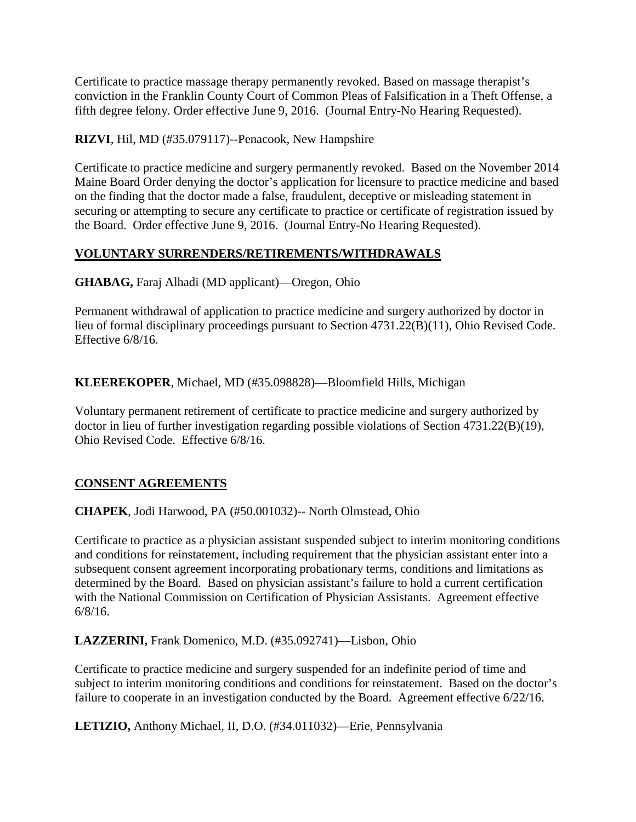Certificate to practice massage therapy permanently revoked. Based on massage therapist's conviction in the Franklin County Court of Common Pleas of Falsification in a Theft Offense, a fifth degree felony. Order effective June 9, 2016. (Journal Entry-No Hearing Requested).

**RIZVI**, Hil, MD (#35.079117)--Penacook, New Hampshire

Certificate to practice medicine and surgery permanently revoked. Based on the November 2014 Maine Board Order denying the doctor's application for licensure to practice medicine and based on the finding that the doctor made a false, fraudulent, deceptive or misleading statement in securing or attempting to secure any certificate to practice or certificate of registration issued by the Board. Order effective June 9, 2016. (Journal Entry-No Hearing Requested).

# **VOLUNTARY SURRENDERS/RETIREMENTS/WITHDRAWALS**

**GHABAG,** Faraj Alhadi (MD applicant)—Oregon, Ohio

Permanent withdrawal of application to practice medicine and surgery authorized by doctor in lieu of formal disciplinary proceedings pursuant to Section 4731.22(B)(11), Ohio Revised Code. Effective 6/8/16.

**KLEEREKOPER**, Michael, MD (#35.098828)—Bloomfield Hills, Michigan

Voluntary permanent retirement of certificate to practice medicine and surgery authorized by doctor in lieu of further investigation regarding possible violations of Section 4731.22(B)(19), Ohio Revised Code. Effective 6/8/16.

# **CONSENT AGREEMENTS**

**CHAPEK**, Jodi Harwood, PA (#50.001032)-- North Olmstead, Ohio

Certificate to practice as a physician assistant suspended subject to interim monitoring conditions and conditions for reinstatement, including requirement that the physician assistant enter into a subsequent consent agreement incorporating probationary terms, conditions and limitations as determined by the Board. Based on physician assistant's failure to hold a current certification with the National Commission on Certification of Physician Assistants. Agreement effective 6/8/16.

**LAZZERINI,** Frank Domenico, M.D. (#35.092741)—Lisbon, Ohio

Certificate to practice medicine and surgery suspended for an indefinite period of time and subject to interim monitoring conditions and conditions for reinstatement. Based on the doctor's failure to cooperate in an investigation conducted by the Board. Agreement effective 6/22/16.

**LETIZIO,** Anthony Michael, II, D.O. (#34.011032)—Erie, Pennsylvania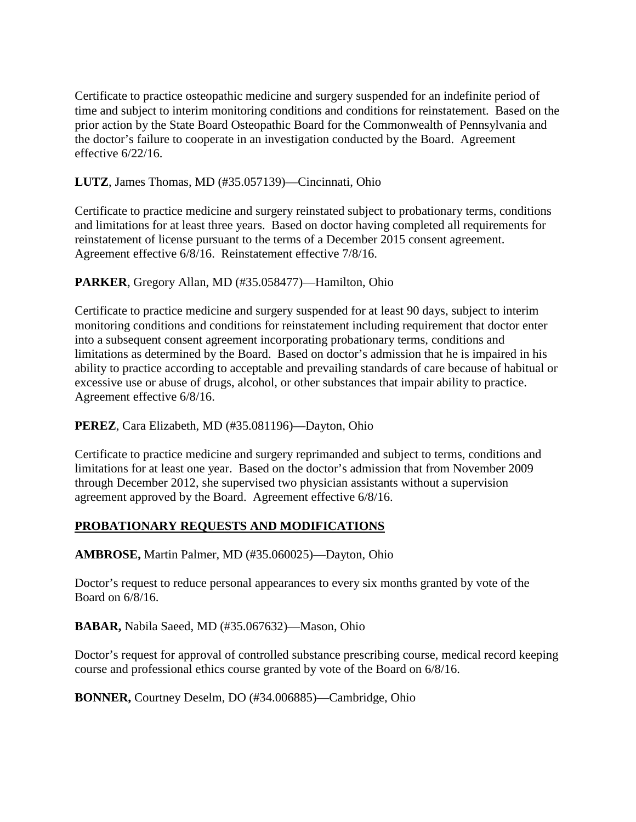Certificate to practice osteopathic medicine and surgery suspended for an indefinite period of time and subject to interim monitoring conditions and conditions for reinstatement. Based on the prior action by the State Board Osteopathic Board for the Commonwealth of Pennsylvania and the doctor's failure to cooperate in an investigation conducted by the Board. Agreement effective 6/22/16.

**LUTZ**, James Thomas, MD (#35.057139)—Cincinnati, Ohio

Certificate to practice medicine and surgery reinstated subject to probationary terms, conditions and limitations for at least three years. Based on doctor having completed all requirements for reinstatement of license pursuant to the terms of a December 2015 consent agreement. Agreement effective 6/8/16. Reinstatement effective 7/8/16.

**PARKER**, Gregory Allan, MD (#35.058477)—Hamilton, Ohio

Certificate to practice medicine and surgery suspended for at least 90 days, subject to interim monitoring conditions and conditions for reinstatement including requirement that doctor enter into a subsequent consent agreement incorporating probationary terms, conditions and limitations as determined by the Board. Based on doctor's admission that he is impaired in his ability to practice according to acceptable and prevailing standards of care because of habitual or excessive use or abuse of drugs, alcohol, or other substances that impair ability to practice. Agreement effective 6/8/16.

**PEREZ**, Cara Elizabeth, MD (#35.081196)—Dayton, Ohio

Certificate to practice medicine and surgery reprimanded and subject to terms, conditions and limitations for at least one year. Based on the doctor's admission that from November 2009 through December 2012, she supervised two physician assistants without a supervision agreement approved by the Board. Agreement effective 6/8/16.

# **PROBATIONARY REQUESTS AND MODIFICATIONS**

**AMBROSE,** Martin Palmer, MD (#35.060025)—Dayton, Ohio

Doctor's request to reduce personal appearances to every six months granted by vote of the Board on 6/8/16.

**BABAR,** Nabila Saeed, MD (#35.067632)—Mason, Ohio

Doctor's request for approval of controlled substance prescribing course, medical record keeping course and professional ethics course granted by vote of the Board on 6/8/16.

**BONNER,** Courtney Deselm, DO (#34.006885)—Cambridge, Ohio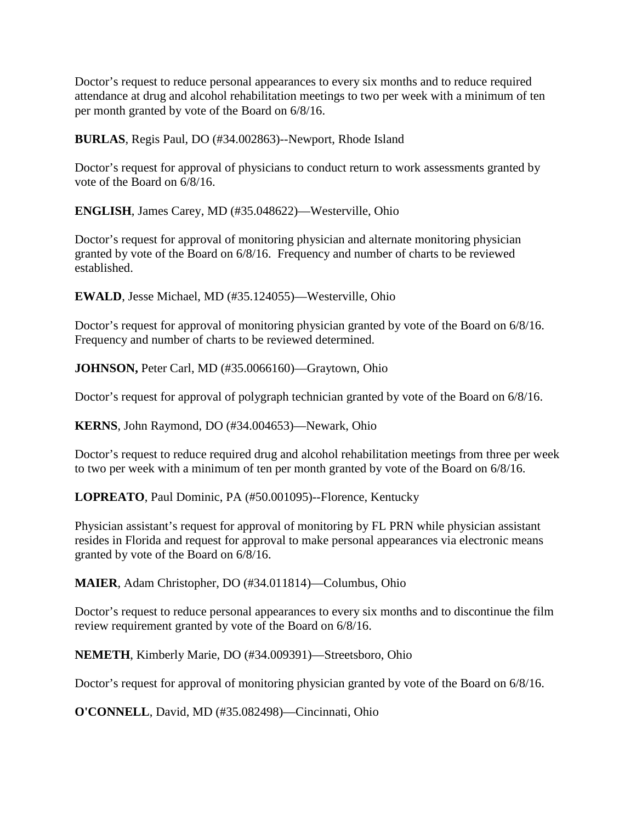Doctor's request to reduce personal appearances to every six months and to reduce required attendance at drug and alcohol rehabilitation meetings to two per week with a minimum of ten per month granted by vote of the Board on 6/8/16.

**BURLAS**, Regis Paul, DO (#34.002863)--Newport, Rhode Island

Doctor's request for approval of physicians to conduct return to work assessments granted by vote of the Board on 6/8/16.

**ENGLISH**, James Carey, MD (#35.048622)—Westerville, Ohio

Doctor's request for approval of monitoring physician and alternate monitoring physician granted by vote of the Board on 6/8/16. Frequency and number of charts to be reviewed established.

**EWALD**, Jesse Michael, MD (#35.124055)—Westerville, Ohio

Doctor's request for approval of monitoring physician granted by vote of the Board on 6/8/16. Frequency and number of charts to be reviewed determined.

**JOHNSON,** Peter Carl, MD (#35.0066160)—Graytown, Ohio

Doctor's request for approval of polygraph technician granted by vote of the Board on 6/8/16.

**KERNS**, John Raymond, DO (#34.004653)—Newark, Ohio

Doctor's request to reduce required drug and alcohol rehabilitation meetings from three per week to two per week with a minimum of ten per month granted by vote of the Board on 6/8/16.

**LOPREATO**, Paul Dominic, PA (#50.001095)--Florence, Kentucky

Physician assistant's request for approval of monitoring by FL PRN while physician assistant resides in Florida and request for approval to make personal appearances via electronic means granted by vote of the Board on 6/8/16.

**MAIER**, Adam Christopher, DO (#34.011814)—Columbus, Ohio

Doctor's request to reduce personal appearances to every six months and to discontinue the film review requirement granted by vote of the Board on 6/8/16.

**NEMETH**, Kimberly Marie, DO (#34.009391)—Streetsboro, Ohio

Doctor's request for approval of monitoring physician granted by vote of the Board on 6/8/16.

**O'CONNELL**, David, MD (#35.082498)—Cincinnati, Ohio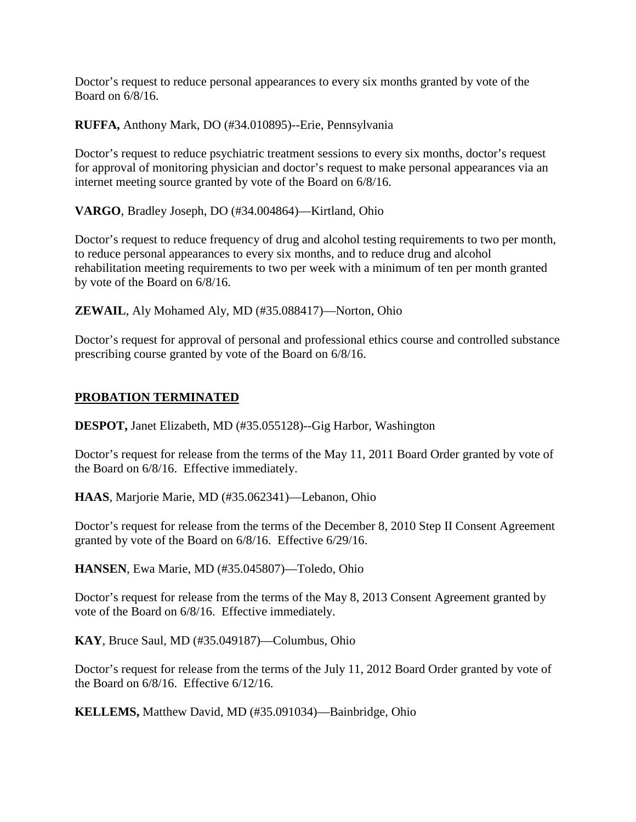Doctor's request to reduce personal appearances to every six months granted by vote of the Board on 6/8/16.

**RUFFA,** Anthony Mark, DO (#34.010895)--Erie, Pennsylvania

Doctor's request to reduce psychiatric treatment sessions to every six months, doctor's request for approval of monitoring physician and doctor's request to make personal appearances via an internet meeting source granted by vote of the Board on 6/8/16.

**VARGO**, Bradley Joseph, DO (#34.004864)—Kirtland, Ohio

Doctor's request to reduce frequency of drug and alcohol testing requirements to two per month, to reduce personal appearances to every six months, and to reduce drug and alcohol rehabilitation meeting requirements to two per week with a minimum of ten per month granted by vote of the Board on 6/8/16.

**ZEWAIL**, Aly Mohamed Aly, MD (#35.088417)—Norton, Ohio

Doctor's request for approval of personal and professional ethics course and controlled substance prescribing course granted by vote of the Board on 6/8/16.

### **PROBATION TERMINATED**

**DESPOT,** Janet Elizabeth, MD (#35.055128)--Gig Harbor, Washington

Doctor's request for release from the terms of the May 11, 2011 Board Order granted by vote of the Board on 6/8/16. Effective immediately.

**HAAS**, Marjorie Marie, MD (#35.062341)—Lebanon, Ohio

Doctor's request for release from the terms of the December 8, 2010 Step II Consent Agreement granted by vote of the Board on 6/8/16. Effective 6/29/16.

**HANSEN**, Ewa Marie, MD (#35.045807)—Toledo, Ohio

Doctor's request for release from the terms of the May 8, 2013 Consent Agreement granted by vote of the Board on 6/8/16. Effective immediately.

**KAY**, Bruce Saul, MD (#35.049187)—Columbus, Ohio

Doctor's request for release from the terms of the July 11, 2012 Board Order granted by vote of the Board on 6/8/16. Effective 6/12/16.

**KELLEMS,** Matthew David, MD (#35.091034)—Bainbridge, Ohio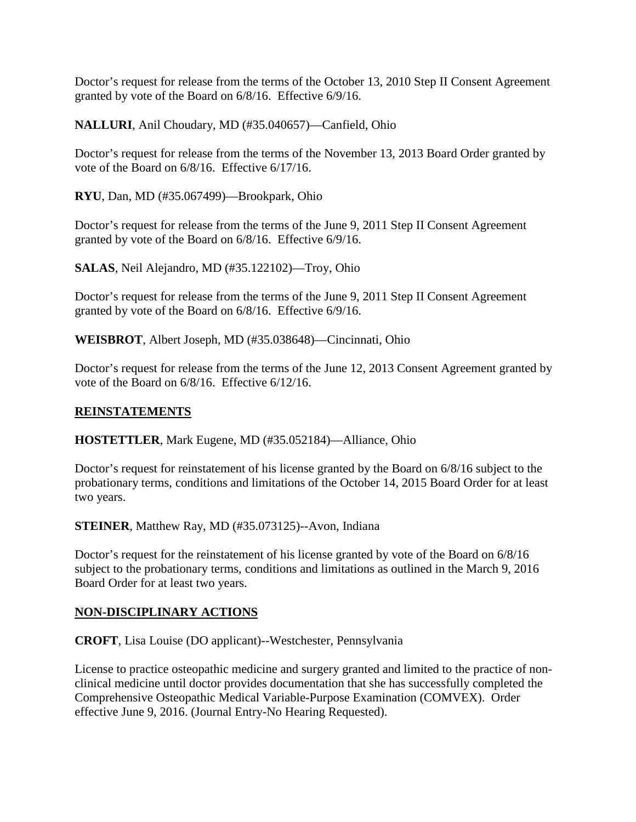Doctor's request for release from the terms of the October 13, 2010 Step II Consent Agreement granted by vote of the Board on 6/8/16. Effective 6/9/16.

**NALLURI**, Anil Choudary, MD (#35.040657)—Canfield, Ohio

Doctor's request for release from the terms of the November 13, 2013 Board Order granted by vote of the Board on 6/8/16. Effective 6/17/16.

**RYU**, Dan, MD (#35.067499)—Brookpark, Ohio

Doctor's request for release from the terms of the June 9, 2011 Step II Consent Agreement granted by vote of the Board on 6/8/16. Effective 6/9/16.

**SALAS**, Neil Alejandro, MD (#35.122102)—Troy, Ohio

Doctor's request for release from the terms of the June 9, 2011 Step II Consent Agreement granted by vote of the Board on 6/8/16. Effective 6/9/16.

**WEISBROT**, Albert Joseph, MD (#35.038648)—Cincinnati, Ohio

Doctor's request for release from the terms of the June 12, 2013 Consent Agreement granted by vote of the Board on 6/8/16. Effective 6/12/16.

#### **REINSTATEMENTS**

**HOSTETTLER**, Mark Eugene, MD (#35.052184)—Alliance, Ohio

Doctor's request for reinstatement of his license granted by the Board on 6/8/16 subject to the probationary terms, conditions and limitations of the October 14, 2015 Board Order for at least two years.

**STEINER**, Matthew Ray, MD (#35.073125)--Avon, Indiana

Doctor's request for the reinstatement of his license granted by vote of the Board on 6/8/16 subject to the probationary terms, conditions and limitations as outlined in the March 9, 2016 Board Order for at least two years.

#### **NON-DISCIPLINARY ACTIONS**

**CROFT**, Lisa Louise (DO applicant)--Westchester, Pennsylvania

License to practice osteopathic medicine and surgery granted and limited to the practice of nonclinical medicine until doctor provides documentation that she has successfully completed the Comprehensive Osteopathic Medical Variable-Purpose Examination (COMVEX). Order effective June 9, 2016. (Journal Entry-No Hearing Requested).